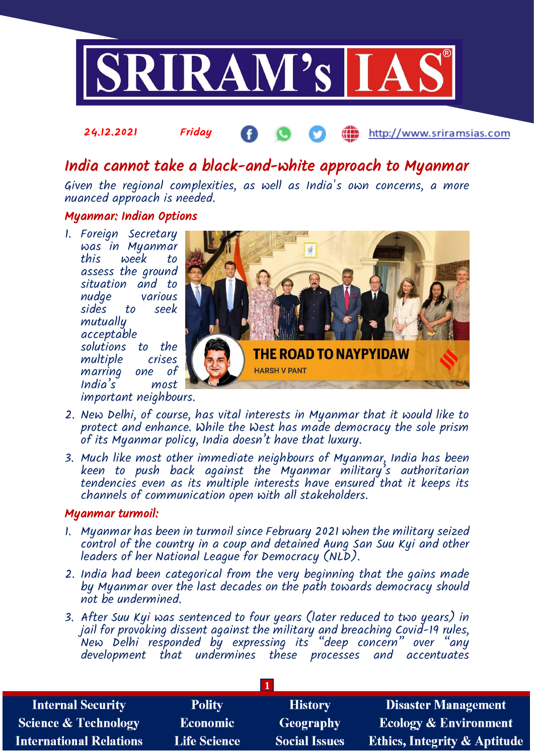

#### 24.12.2021 Friday http://www.sriramsias.com

# India cannot take a black-and-white approach to Myanmar

Given the regional complexities, as well as India's own concerns, a more nuanced approach is needed.

## Myanmar: Indian Options

1. Foreign Secretary was in Myanmar week to assess the ground situation and to various sides to seek mutually acceptable solutions to the multiple crises marring one of India's most important neighbours.



- 2. New Delhi, of course, has vital interests in Myanmar that it would like to protect and enhance. While the West has made democracy the sole prism of its Myanmar policy, India doesn't have that luxury.
- 3. Much like most other immediate neighbours of Myanmar, India has been keen to push back against the Myanmar military's authoritarian tendencies even as its multiple interests have ensured that it keeps its channels of communication open with all stakeholders.

## Myanmar turmoil:

- 1. Myanmar has been in turmoil since February 2021 when the military seized control of the country in a coup and detained Aung San Suu Kyi and other leaders of her National League for Democracy (NLD).
- 2. India had been categorical from the very beginning that the gains made by Myanmar over the last decades on the path towards democracy should not be undermined.
- 3. After Suu Kyi was sentenced to four years (later reduced to two years) in jail for provoking dissent against the military and breaching Covid-19 rules, New Delhi responded by expressing its "deep concern" over "any development that undermines these processes and accentuates

| <b>Internal Security</b>        | <b>Polity</b>       | <b>History</b>       | <b>Disaster Management</b>              |
|---------------------------------|---------------------|----------------------|-----------------------------------------|
| <b>Science &amp; Technology</b> | <b>Economic</b>     | Geography            | <b>Ecology &amp; Environment</b>        |
| <b>International Relations</b>  | <b>Life Science</b> | <b>Social Issues</b> | <b>Ethics, Integrity &amp; Aptitude</b> |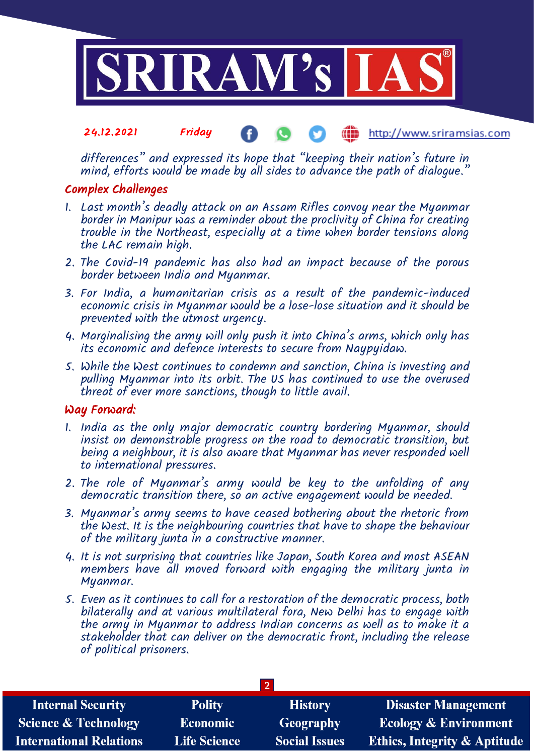

#### 24.12.2021 Friday http://www.sriramsias.com

differences" and expressed its hope that "keeping their nation's future in mind, efforts would be made by all sides to advance the path of dialoque."

# Complex Challenges

- 1. Last month's deadly attack on an Assam Rifles convoy near the Myanmar border in Manipur was a reminder about the proclivity of China for creating trouble in the Northeast, especially at a time when border tensions along the LAC remain high.
- 2. The Covid-19 pandemic has also had an impact because of the porous border between India and Myanmar.
- 3. For India, a humanitarian crisis as a result of the pandemic-induced economic crisis in Myanmar would be a lose-lose situation and it should be prevented with the utmost urgency.
- 4. Marginalising the army will only push it into China's arms, which only has its economic and defence interests to secure from Naypyidaw.
- 5. While the West continues to condemn and sanction, China is investing and pulling Myanmar into its orbit. The US has continued to use the overused threat of ever more sanctions, though to little avail.

## Way Forward:

- 1. India as the only major democratic country bordering Myanmar, should insist on demonstrable progress on the road to democratic transition, but being a neighbour, it is also aware that Myanmar has never responded well to international pressures.
- 2. The role of Myanmar's army would be key to the unfolding of any democratic transition there, so an active engagement would be needed.
- 3. Myanmar's army seems to have ceased bothering about the rhetoric from the West. It is the neighbouring countries that have to shape the behaviour of the military junta in a constructive manner.
- 4. It is not surprising that countries like Japan, South Korea and most ASEAN members have all moved forward with engaging the military junta in Myanmar.
- 5. Even as it continues to call for a restoration of the democratic process, both bilaterally and at various multilateral fora, New Delhi has to engage with the army in Myanmar to address Indian concerns as well as to make it a stakeholder that can deliver on the democratic front, including the release of political prisoners.

| <b>Internal Security</b>        | <b>Polity</b>       | <b>History</b>       | <b>Disaster Management</b>              |  |  |  |
|---------------------------------|---------------------|----------------------|-----------------------------------------|--|--|--|
| <b>Science &amp; Technology</b> | <b>Economic</b>     | <b>Geography</b>     | <b>Ecology &amp; Environment</b>        |  |  |  |
| <b>International Relations</b>  | <b>Life Science</b> | <b>Social Issues</b> | <b>Ethics, Integrity &amp; Aptitude</b> |  |  |  |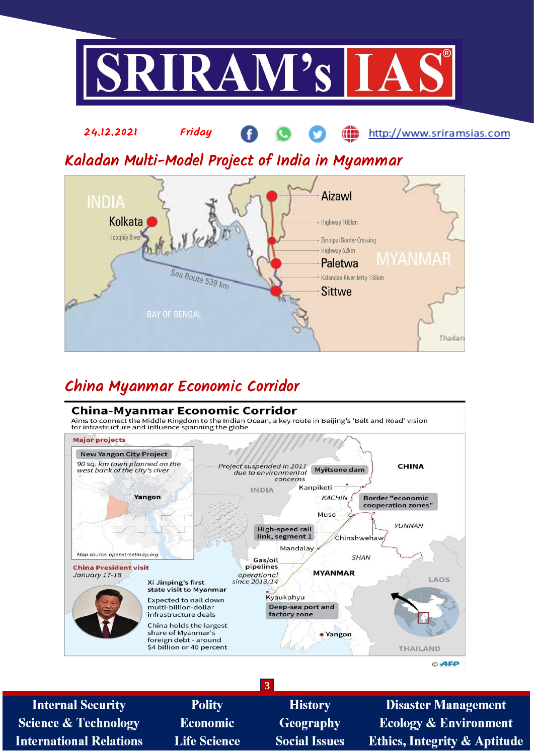



# China Myanmar Economic Corridor

## **China-Myanmar Economic Corridor**

Aims to connect the Middle Kingdom to the Indian Ocean, a key route in Beijing's 'Belt and Road' vision<br>for infrastructure and influence spanning the globe



**3 Internal Security Polity History Disaster Management Science & Technology Geography Ecology & Environment Economic International Relations Life Science Social Issues Ethics, Integrity & Aptitude**